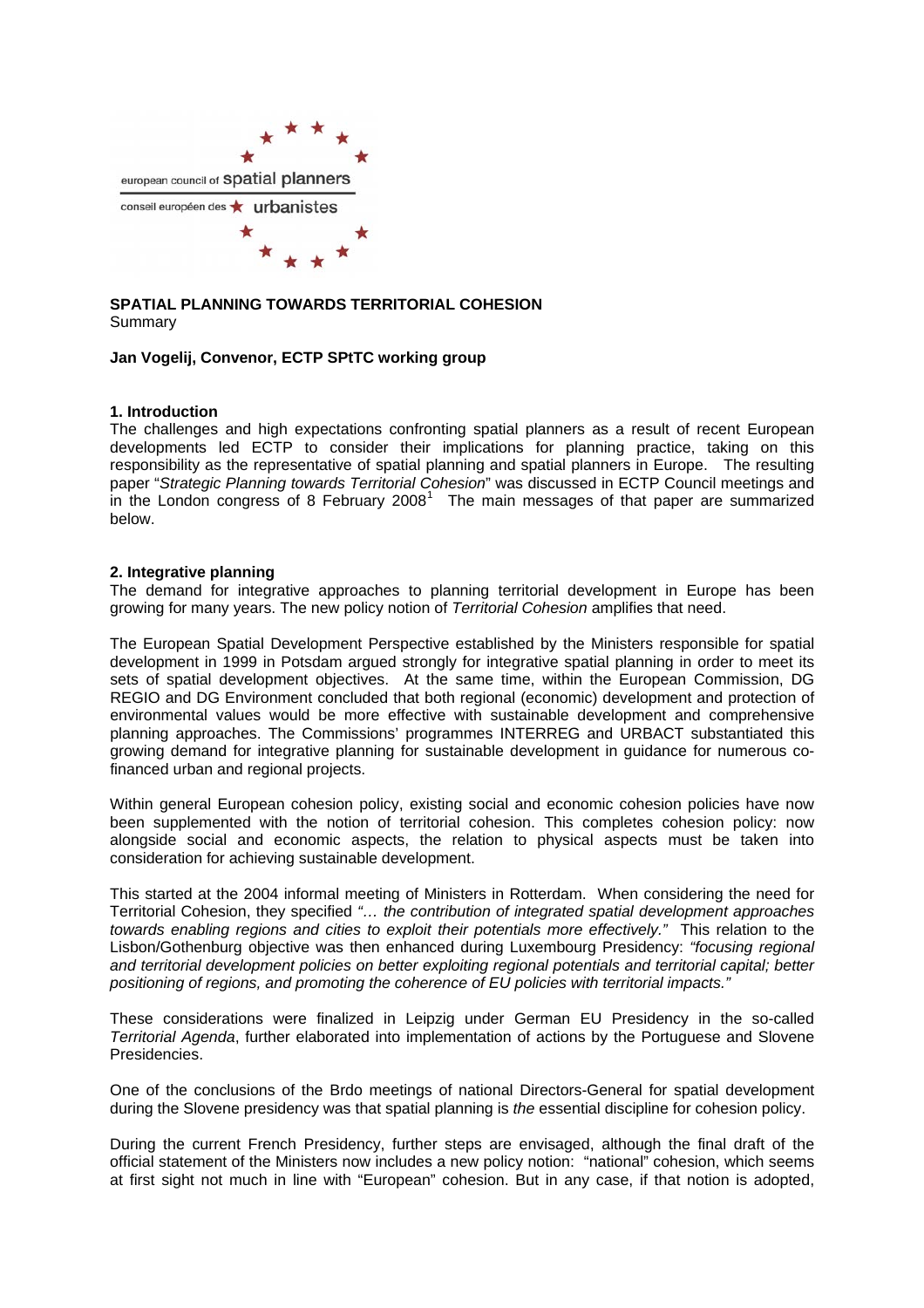

## **SPATIAL PLANNING TOWARDS TERRITORIAL COHESION**  Summary

### **Jan Vogelij, Convenor, ECTP SPtTC working group**

### **1. Introduction**

The challenges and high expectations confronting spatial planners as a result of recent European developments led ECTP to consider their implications for planning practice, taking on this responsibility as the representative of spatial planning and spatial planners in Europe. The resulting paper "*Strategic Planning towards Territorial Cohesion*" was discussed in ECTP Council meetings and  $\overline{a}$  in the London congress of 8 February 2008<sup>[1](#page-6-0)</sup> The main messages of that paper are summarized below.

#### **2. Integrative planning**

The demand for integrative approaches to planning territorial development in Europe has been growing for many years. The new policy notion of *Territorial Cohesion* amplifies that need.

The European Spatial Development Perspective established by the Ministers responsible for spatial development in 1999 in Potsdam argued strongly for integrative spatial planning in order to meet its sets of spatial development objectives. At the same time, within the European Commission, DG REGIO and DG Environment concluded that both regional (economic) development and protection of environmental values would be more effective with sustainable development and comprehensive planning approaches. The Commissions' programmes INTERREG and URBACT substantiated this growing demand for integrative planning for sustainable development in guidance for numerous cofinanced urban and regional projects.

Within general European cohesion policy, existing social and economic cohesion policies have now been supplemented with the notion of territorial cohesion. This completes cohesion policy: now alongside social and economic aspects, the relation to physical aspects must be taken into consideration for achieving sustainable development.

This started at the 2004 informal meeting of Ministers in Rotterdam. When considering the need for Territorial Cohesion, they specified *"… the contribution of integrated spatial development approaches towards enabling regions and cities to exploit their potentials more effectively."* This relation to the Lisbon/Gothenburg objective was then enhanced during Luxembourg Presidency: *"focusing regional and territorial development policies on better exploiting regional potentials and territorial capital; better positioning of regions, and promoting the coherence of EU policies with territorial impacts."* 

These considerations were finalized in Leipzig under German EU Presidency in the so-called *Territorial Agenda*, further elaborated into implementation of actions by the Portuguese and Slovene Presidencies.

One of the conclusions of the Brdo meetings of national Directors-General for spatial development during the Slovene presidency was that spatial planning is *the* essential discipline for cohesion policy.

During the current French Presidency, further steps are envisaged, although the final draft of the official statement of the Ministers now includes a new policy notion: "national" cohesion, which seems at first sight not much in line with "European" cohesion. But in any case, if that notion is adopted,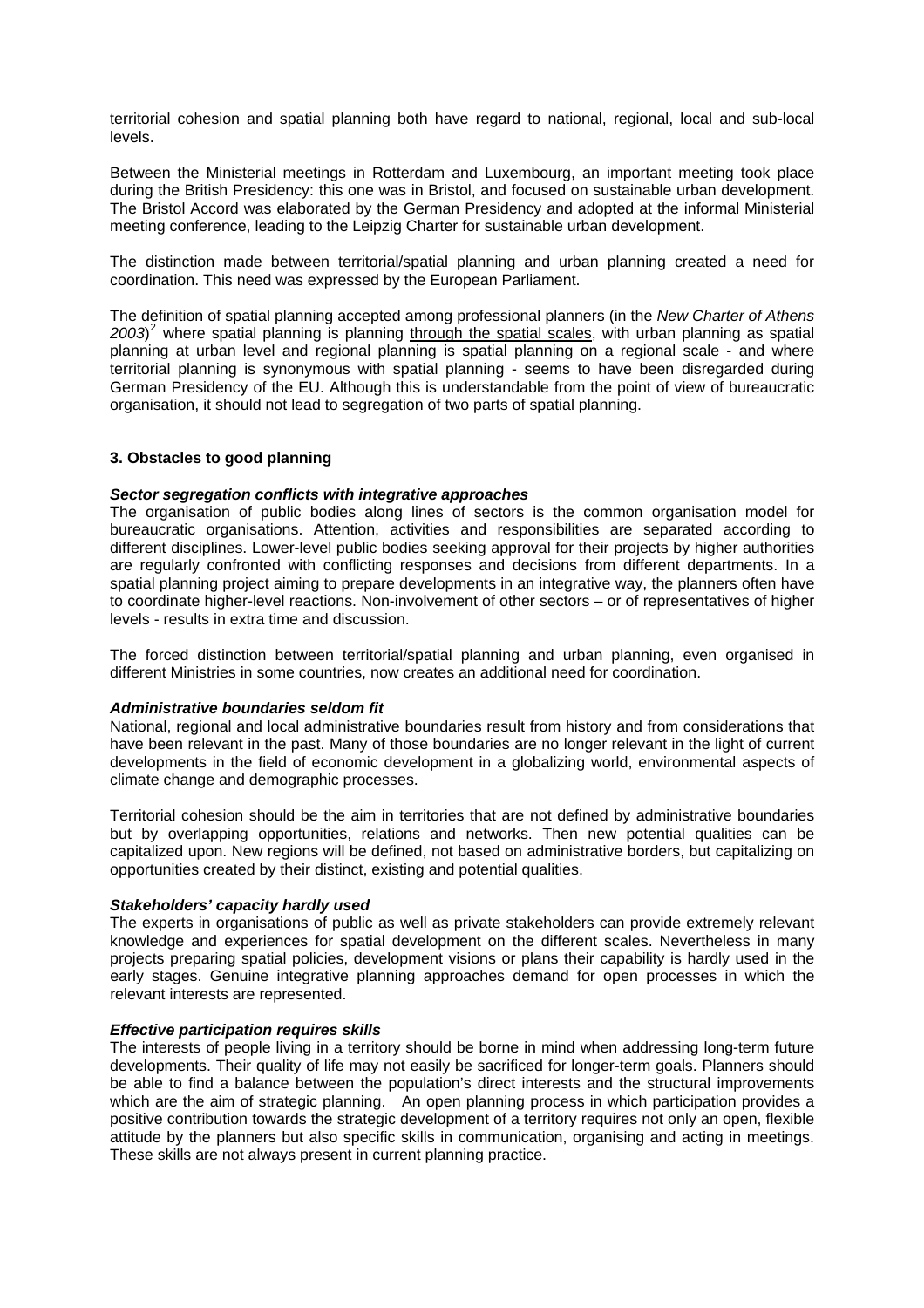territorial cohesion and spatial planning both have regard to national, regional, local and sub-local levels.

Between the Ministerial meetings in Rotterdam and Luxembourg, an important meeting took place during the British Presidency: this one was in Bristol, and focused on sustainable urban development. The Bristol Accord was elaborated by the German Presidency and adopted at the informal Ministerial meeting conference, leading to the Leipzig Charter for sustainable urban development.

The distinction made between territorial/spatial planning and urban planning created a need for coordination. This need was expressed by the European Parliament.

The definition of spatial planning accepted among professional planners (in the *New Charter of Athens 2003*) [2](#page-6-1) where spatial planning is planning through the spatial scales, with urban planning as spatial planning at urban level and regional planning is spatial planning on a regional scale - and where territorial planning is synonymous with spatial planning - seems to have been disregarded during German Presidency of the EU. Although this is understandable from the point of view of bureaucratic organisation, it should not lead to segregation of two parts of spatial planning.

## **3. Obstacles to good planning**

### *Sector segregation conflicts with integrative approaches*

The organisation of public bodies along lines of sectors is the common organisation model for bureaucratic organisations. Attention, activities and responsibilities are separated according to different disciplines. Lower-level public bodies seeking approval for their projects by higher authorities are regularly confronted with conflicting responses and decisions from different departments. In a spatial planning project aiming to prepare developments in an integrative way, the planners often have to coordinate higher-level reactions. Non-involvement of other sectors – or of representatives of higher levels - results in extra time and discussion.

The forced distinction between territorial/spatial planning and urban planning, even organised in different Ministries in some countries, now creates an additional need for coordination.

### *Administrative boundaries seldom fit*

National, regional and local administrative boundaries result from history and from considerations that have been relevant in the past. Many of those boundaries are no longer relevant in the light of current developments in the field of economic development in a globalizing world, environmental aspects of climate change and demographic processes.

Territorial cohesion should be the aim in territories that are not defined by administrative boundaries but by overlapping opportunities, relations and networks. Then new potential qualities can be capitalized upon. New regions will be defined, not based on administrative borders, but capitalizing on opportunities created by their distinct, existing and potential qualities.

#### *Stakeholders' capacity hardly used*

The experts in organisations of public as well as private stakeholders can provide extremely relevant knowledge and experiences for spatial development on the different scales. Nevertheless in many projects preparing spatial policies, development visions or plans their capability is hardly used in the early stages. Genuine integrative planning approaches demand for open processes in which the relevant interests are represented.

### *Effective participation requires skills*

The interests of people living in a territory should be borne in mind when addressing long-term future developments. Their quality of life may not easily be sacrificed for longer-term goals. Planners should be able to find a balance between the population's direct interests and the structural improvements which are the aim of strategic planning. An open planning process in which participation provides a positive contribution towards the strategic development of a territory requires not only an open, flexible attitude by the planners but also specific skills in communication, organising and acting in meetings. These skills are not always present in current planning practice.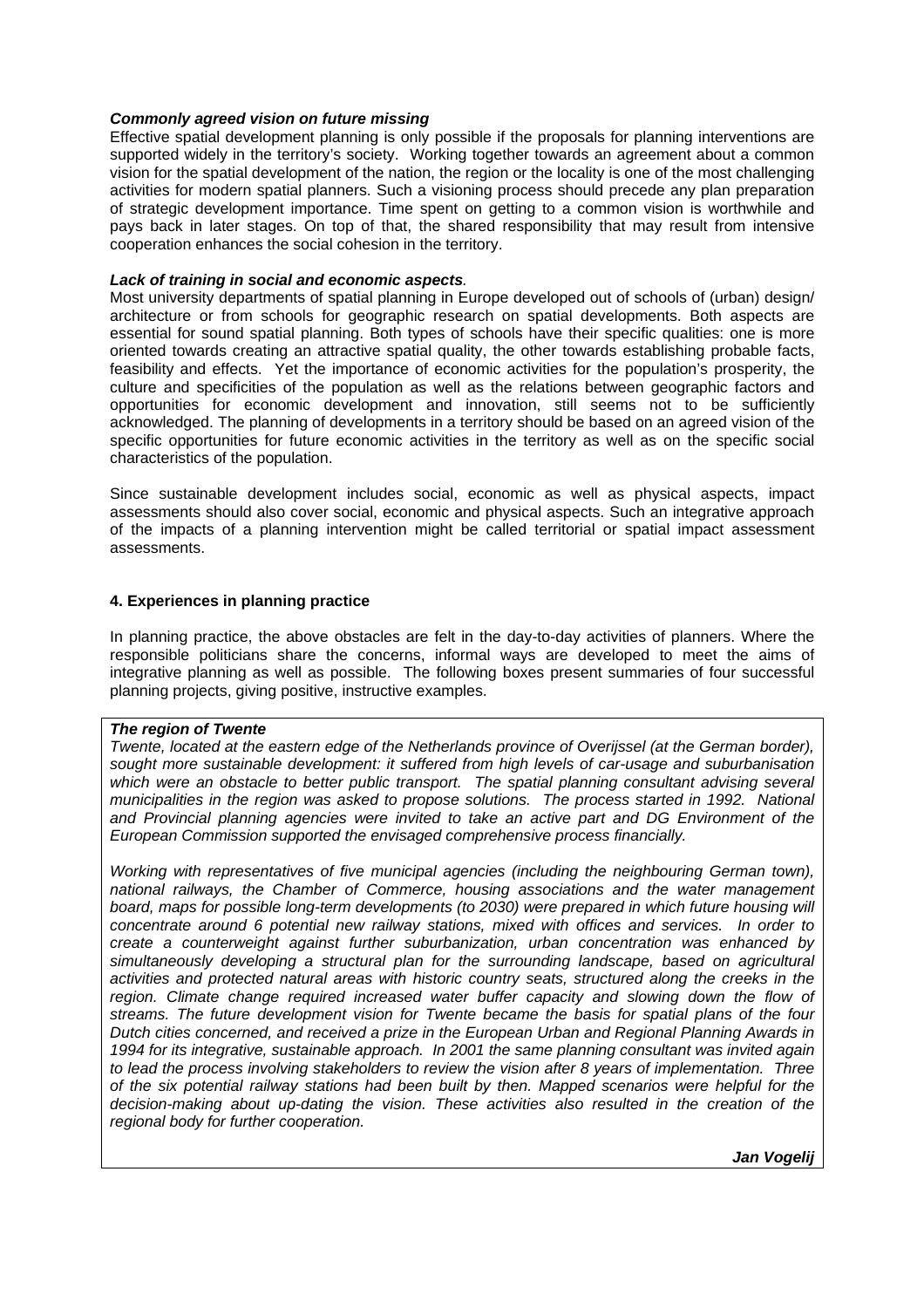### *Commonly agreed vision on future missing*

Effective spatial development planning is only possible if the proposals for planning interventions are supported widely in the territory's society. Working together towards an agreement about a common vision for the spatial development of the nation, the region or the locality is one of the most challenging activities for modern spatial planners. Such a visioning process should precede any plan preparation of strategic development importance. Time spent on getting to a common vision is worthwhile and pays back in later stages. On top of that, the shared responsibility that may result from intensive cooperation enhances the social cohesion in the territory.

## *Lack of training in social and economic aspects.*

Most university departments of spatial planning in Europe developed out of schools of (urban) design/ architecture or from schools for geographic research on spatial developments. Both aspects are essential for sound spatial planning. Both types of schools have their specific qualities: one is more oriented towards creating an attractive spatial quality, the other towards establishing probable facts, feasibility and effects. Yet the importance of economic activities for the population's prosperity, the culture and specificities of the population as well as the relations between geographic factors and opportunities for economic development and innovation, still seems not to be sufficiently acknowledged. The planning of developments in a territory should be based on an agreed vision of the specific opportunities for future economic activities in the territory as well as on the specific social characteristics of the population.

Since sustainable development includes social, economic as well as physical aspects, impact assessments should also cover social, economic and physical aspects. Such an integrative approach of the impacts of a planning intervention might be called territorial or spatial impact assessment assessments.

### **4. Experiences in planning practice**

In planning practice, the above obstacles are felt in the day-to-day activities of planners. Where the responsible politicians share the concerns, informal ways are developed to meet the aims of integrative planning as well as possible. The following boxes present summaries of four successful planning projects, giving positive, instructive examples.

### *The region of Twente*

*Twente, located at the eastern edge of the Netherlands province of Overijssel (at the German border), sought more sustainable development: it suffered from high levels of car-usage and suburbanisation*  which were an obstacle to better public transport. The spatial planning consultant advising several *municipalities in the region was asked to propose solutions. The process started in 1992. National and Provincial planning agencies were invited to take an active part and DG Environment of the European Commission supported the envisaged comprehensive process financially.* 

*Working with representatives of five municipal agencies (including the neighbouring German town), national railways, the Chamber of Commerce, housing associations and the water management board, maps for possible long-term developments (to 2030) were prepared in which future housing will concentrate around 6 potential new railway stations, mixed with offices and services. In order to create a counterweight against further suburbanization, urban concentration was enhanced by simultaneously developing a structural plan for the surrounding landscape, based on agricultural*  activities and protected natural areas with historic country seats, structured along the creeks in the region. Climate change required increased water buffer capacity and slowing down the flow of *streams. The future development vision for Twente became the basis for spatial plans of the four Dutch cities concerned, and received a prize in the European Urban and Regional Planning Awards in 1994 for its integrative, sustainable approach. In 2001 the same planning consultant was invited again to lead the process involving stakeholders to review the vision after 8 years of implementation. Three of the six potential railway stations had been built by then. Mapped scenarios were helpful for the decision-making about up-dating the vision. These activities also resulted in the creation of the regional body for further cooperation.* 

*Jan Vogelij*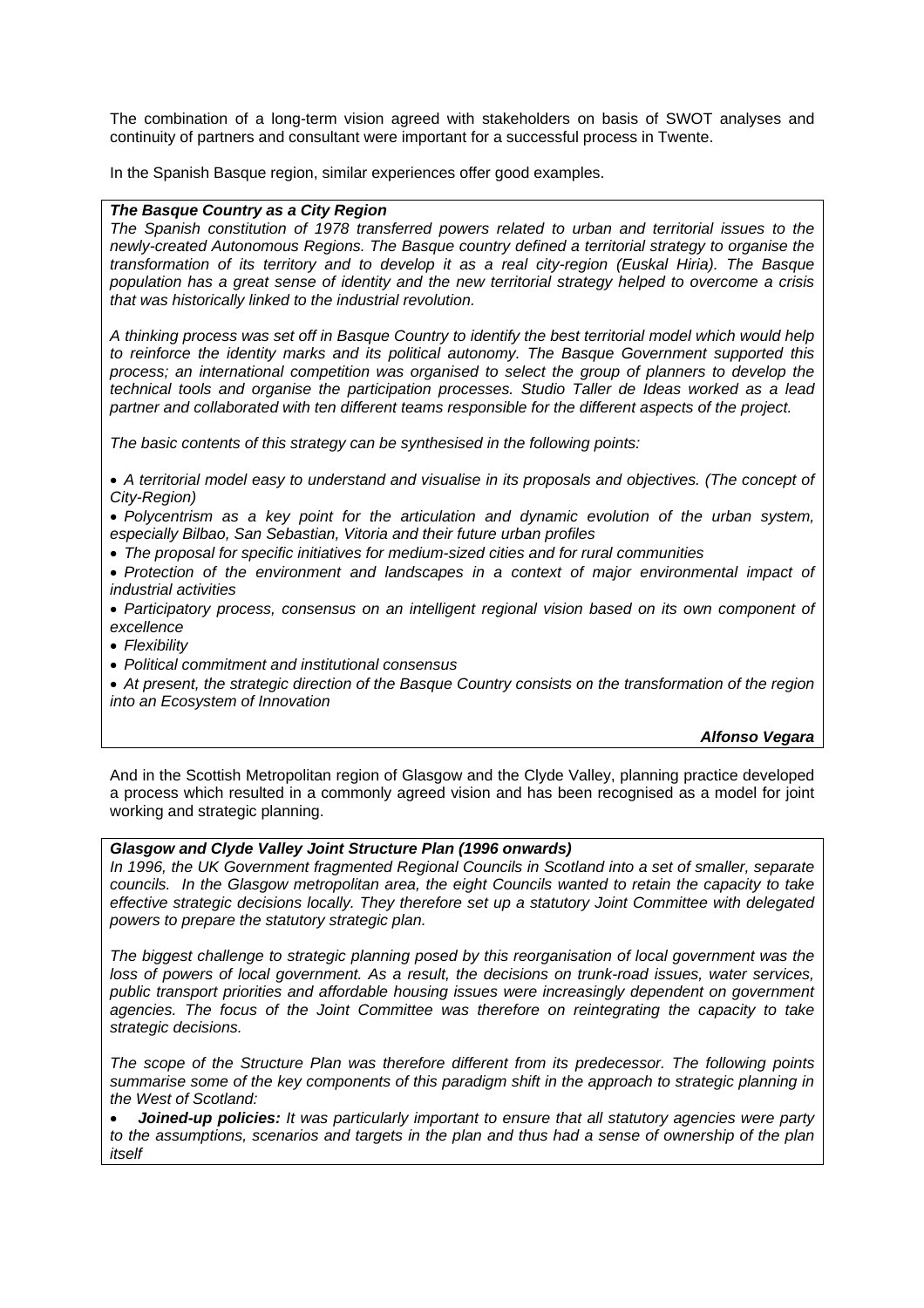The combination of a long-term vision agreed with stakeholders on basis of SWOT analyses and continuity of partners and consultant were important for a successful process in Twente.

In the Spanish Basque region, similar experiences offer good examples.

### *The Basque Country as a City Region*

*The Spanish constitution of 1978 transferred powers related to urban and territorial issues to the newly-created Autonomous Regions. The Basque country defined a territorial strategy to organise the transformation of its territory and to develop it as a real city-region (Euskal Hiria). The Basque population has a great sense of identity and the new territorial strategy helped to overcome a crisis that was historically linked to the industrial revolution.* 

*A thinking process was set off in Basque Country to identify the best territorial model which would help to reinforce the identity marks and its political autonomy. The Basque Government supported this process; an international competition was organised to select the group of planners to develop the technical tools and organise the participation processes. Studio Taller de Ideas worked as a lead partner and collaborated with ten different teams responsible for the different aspects of the project.* 

*The basic contents of this strategy can be synthesised in the following points:* 

• *A territorial model easy to understand and visualise in its proposals and objectives. (The concept of City-Region)* 

• *Polycentrism as a key point for the articulation and dynamic evolution of the urban system, especially Bilbao, San Sebastian, Vitoria and their future urban profiles* 

• *The proposal for specific initiatives for medium-sized cities and for rural communities* 

• *Protection of the environment and landscapes in a context of major environmental impact of industrial activities* 

• *Participatory process, consensus on an intelligent regional vision based on its own component of excellence* 

• *Flexibility* 

• *Political commitment and institutional consensus* 

• *At present, the strategic direction of the Basque Country consists on the transformation of the region into an Ecosystem of Innovation* 

*Alfonso Vegara*

And in the Scottish Metropolitan region of Glasgow and the Clyde Valley, planning practice developed a process which resulted in a commonly agreed vision and has been recognised as a model for joint working and strategic planning.

# *Glasgow and Clyde Valley Joint Structure Plan (1996 onwards)*

*In 1996, the UK Government fragmented Regional Councils in Scotland into a set of smaller, separate councils. In the Glasgow metropolitan area, the eight Councils wanted to retain the capacity to take effective strategic decisions locally. They therefore set up a statutory Joint Committee with delegated powers to prepare the statutory strategic plan.* 

*The biggest challenge to strategic planning posed by this reorganisation of local government was the loss of powers of local government. As a result, the decisions on trunk-road issues, water services, public transport priorities and affordable housing issues were increasingly dependent on government agencies. The focus of the Joint Committee was therefore on reintegrating the capacity to take strategic decisions.* 

*The scope of the Structure Plan was therefore different from its predecessor. The following points summarise some of the key components of this paradigm shift in the approach to strategic planning in the West of Scotland:* 

• *Joined-up policies: It was particularly important to ensure that all statutory agencies were party to the assumptions, scenarios and targets in the plan and thus had a sense of ownership of the plan itself*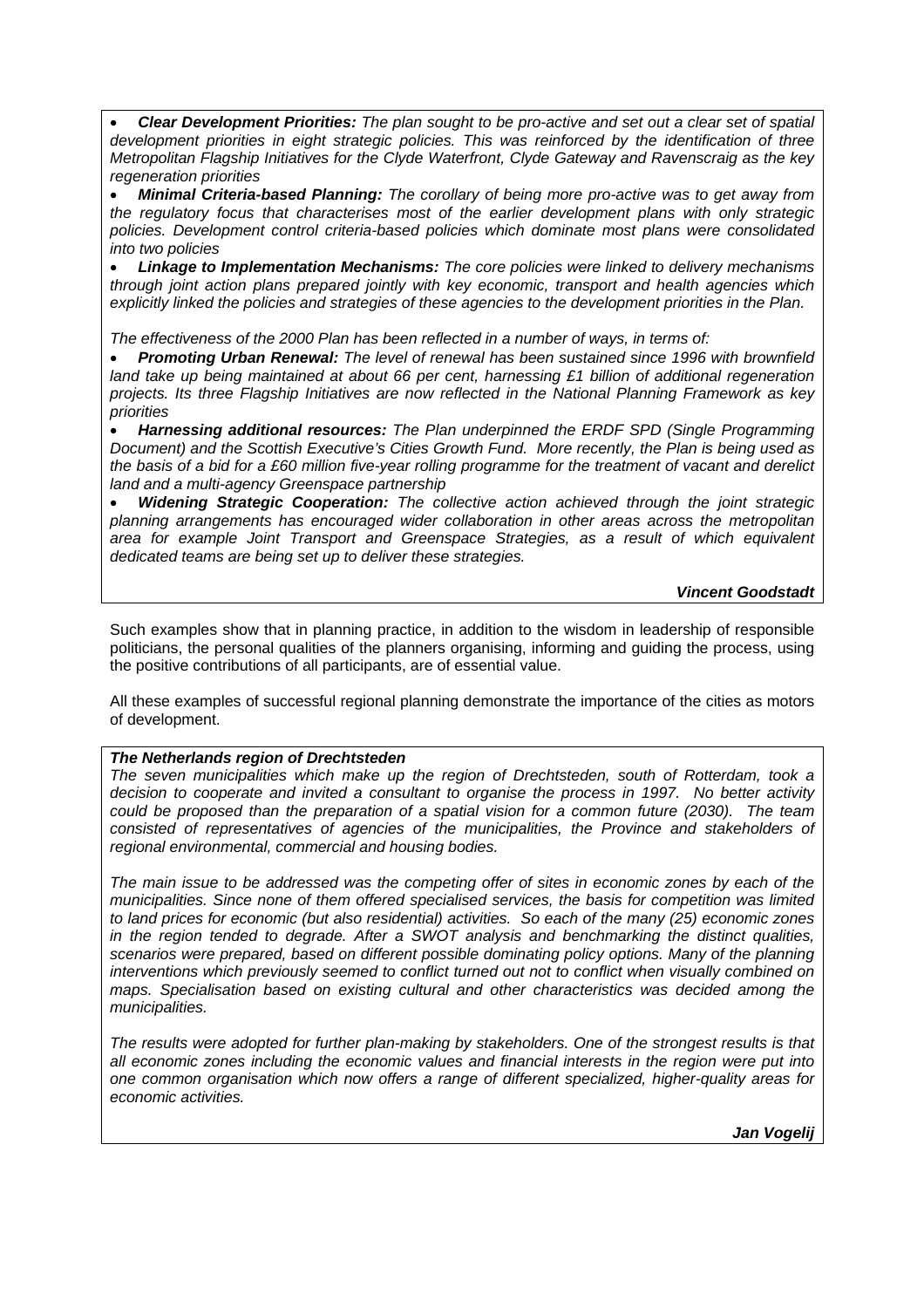• *Clear Development Priorities: The plan sought to be pro-active and set out a clear set of spatial development priorities in eight strategic policies. This was reinforced by the identification of three Metropolitan Flagship Initiatives for the Clyde Waterfront, Clyde Gateway and Ravenscraig as the key regeneration priorities* 

• *Minimal Criteria-based Planning: The corollary of being more pro-active was to get away from the regulatory focus that characterises most of the earlier development plans with only strategic policies. Development control criteria-based policies which dominate most plans were consolidated into two policies* 

• *Linkage to Implementation Mechanisms: The core policies were linked to delivery mechanisms through joint action plans prepared jointly with key economic, transport and health agencies which explicitly linked the policies and strategies of these agencies to the development priorities in the Plan.* 

*The effectiveness of the 2000 Plan has been reflected in a number of ways, in terms of:* 

• *Promoting Urban Renewal: The level of renewal has been sustained since 1996 with brownfield land take up being maintained at about 66 per cent, harnessing £1 billion of additional regeneration projects. Its three Flagship Initiatives are now reflected in the National Planning Framework as key priorities* 

• *Harnessing additional resources: The Plan underpinned the ERDF SPD (Single Programming Document) and the Scottish Executive's Cities Growth Fund. More recently, the Plan is being used as the basis of a bid for a £60 million five-year rolling programme for the treatment of vacant and derelict land and a multi-agency Greenspace partnership* 

• *Widening Strategic Cooperation: The collective action achieved through the joint strategic planning arrangements has encouraged wider collaboration in other areas across the metropolitan area for example Joint Transport and Greenspace Strategies, as a result of which equivalent dedicated teams are being set up to deliver these strategies.* 

# *Vincent Goodstadt*

Such examples show that in planning practice, in addition to the wisdom in leadership of responsible politicians, the personal qualities of the planners organising, informing and guiding the process, using the positive contributions of all participants, are of essential value.

All these examples of successful regional planning demonstrate the importance of the cities as motors of development.

# *The Netherlands region of Drechtsteden*

*The seven municipalities which make up the region of Drechtsteden, south of Rotterdam, took a decision to cooperate and invited a consultant to organise the process in 1997. No better activity could be proposed than the preparation of a spatial vision for a common future (2030). The team*  consisted of representatives of agencies of the municipalities, the Province and stakeholders of *regional environmental, commercial and housing bodies.* 

*The main issue to be addressed was the competing offer of sites in economic zones by each of the municipalities. Since none of them offered specialised services, the basis for competition was limited to land prices for economic (but also residential) activities. So each of the many (25) economic zones in the region tended to degrade. After a SWOT analysis and benchmarking the distinct qualities, scenarios were prepared, based on different possible dominating policy options. Many of the planning interventions which previously seemed to conflict turned out not to conflict when visually combined on maps. Specialisation based on existing cultural and other characteristics was decided among the municipalities.* 

*The results were adopted for further plan-making by stakeholders. One of the strongest results is that all economic zones including the economic values and financial interests in the region were put into one common organisation which now offers a range of different specialized, higher-quality areas for economic activities.* 

*Jan Vogelij*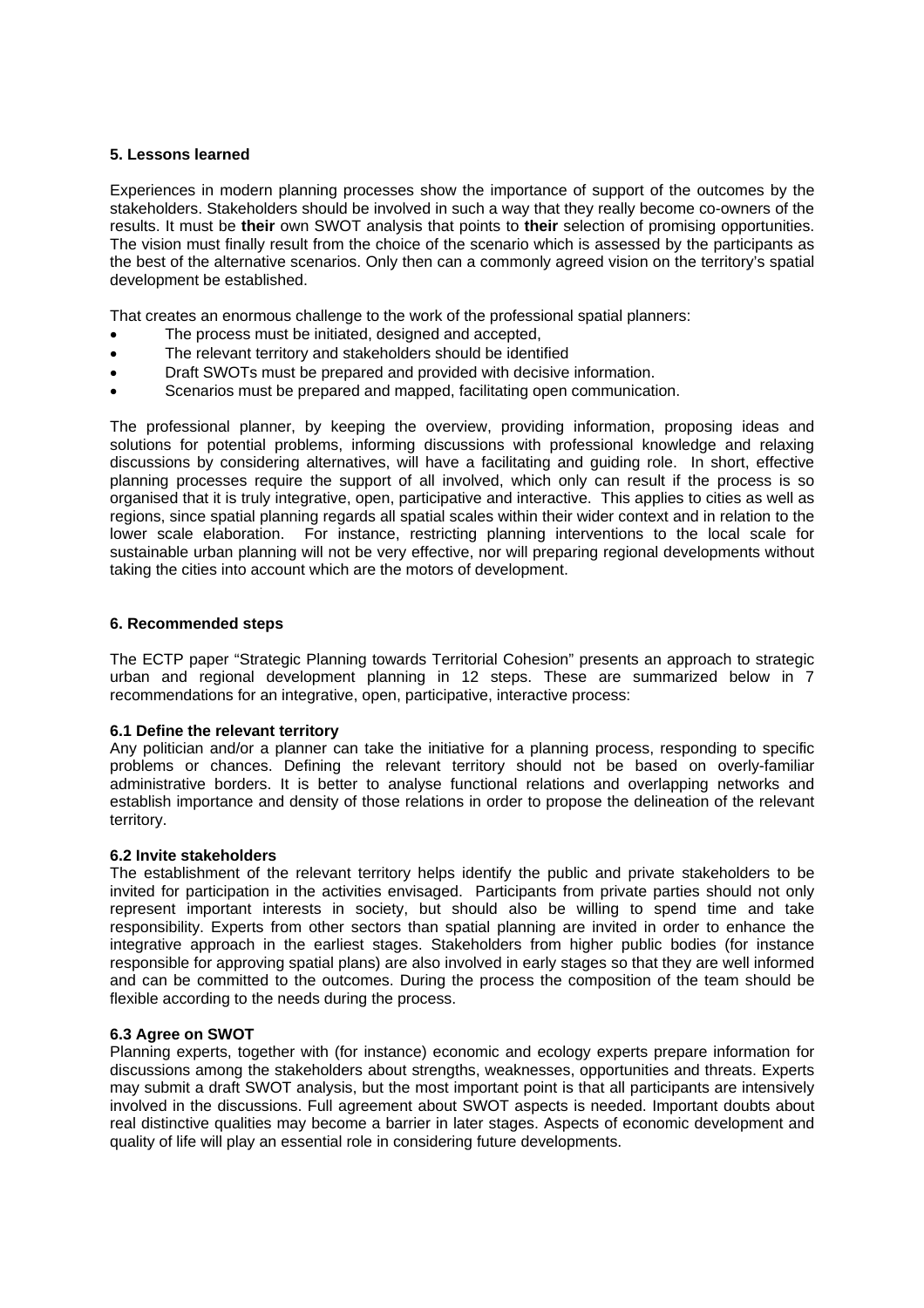## **5. Lessons learned**

Experiences in modern planning processes show the importance of support of the outcomes by the stakeholders. Stakeholders should be involved in such a way that they really become co-owners of the results. It must be **their** own SWOT analysis that points to **their** selection of promising opportunities. The vision must finally result from the choice of the scenario which is assessed by the participants as the best of the alternative scenarios. Only then can a commonly agreed vision on the territory's spatial development be established.

That creates an enormous challenge to the work of the professional spatial planners:

- The process must be initiated, designed and accepted,
- The relevant territory and stakeholders should be identified
- Draft SWOTs must be prepared and provided with decisive information.
- Scenarios must be prepared and mapped, facilitating open communication.

The professional planner, by keeping the overview, providing information, proposing ideas and solutions for potential problems, informing discussions with professional knowledge and relaxing discussions by considering alternatives, will have a facilitating and guiding role. In short, effective planning processes require the support of all involved, which only can result if the process is so organised that it is truly integrative, open, participative and interactive. This applies to cities as well as regions, since spatial planning regards all spatial scales within their wider context and in relation to the lower scale elaboration. For instance, restricting planning interventions to the local scale for sustainable urban planning will not be very effective, nor will preparing regional developments without taking the cities into account which are the motors of development.

## **6. Recommended steps**

The ECTP paper "Strategic Planning towards Territorial Cohesion" presents an approach to strategic urban and regional development planning in 12 steps. These are summarized below in 7 recommendations for an integrative, open, participative, interactive process:

### **6.1 Define the relevant territory**

Any politician and/or a planner can take the initiative for a planning process, responding to specific problems or chances. Defining the relevant territory should not be based on overly-familiar administrative borders. It is better to analyse functional relations and overlapping networks and establish importance and density of those relations in order to propose the delineation of the relevant territory.

### **6.2 Invite stakeholders**

The establishment of the relevant territory helps identify the public and private stakeholders to be invited for participation in the activities envisaged. Participants from private parties should not only represent important interests in society, but should also be willing to spend time and take responsibility. Experts from other sectors than spatial planning are invited in order to enhance the integrative approach in the earliest stages. Stakeholders from higher public bodies (for instance responsible for approving spatial plans) are also involved in early stages so that they are well informed and can be committed to the outcomes. During the process the composition of the team should be flexible according to the needs during the process.

### **6.3 Agree on SWOT**

Planning experts, together with (for instance) economic and ecology experts prepare information for discussions among the stakeholders about strengths, weaknesses, opportunities and threats. Experts may submit a draft SWOT analysis, but the most important point is that all participants are intensively involved in the discussions. Full agreement about SWOT aspects is needed. Important doubts about real distinctive qualities may become a barrier in later stages. Aspects of economic development and quality of life will play an essential role in considering future developments.